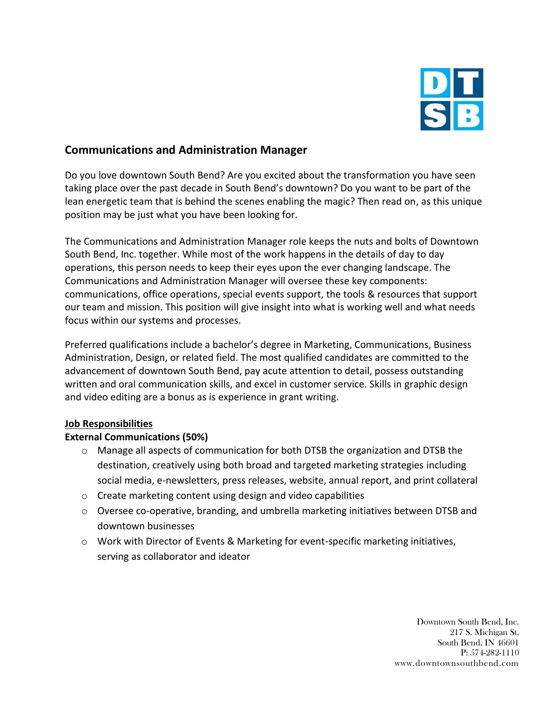

## **Communications and Administration Manager**

Do you love downtown South Bend? Are you excited about the transformation you have seen taking place over the past decade in South Bend's downtown? Do you want to be part of the lean energetic team that is behind the scenes enabling the magic? Then read on, as this unique position may be just what you have been looking for.

The Communications and Administration Manager role keeps the nuts and bolts of Downtown South Bend, Inc. together. While most of the work happens in the details of day to day operations, this person needs to keep their eyes upon the ever changing landscape. The Communications and Administration Manager will oversee these key components: communications, office operations, special events support, the tools & resources that support our team and mission. This position will give insight into what is working well and what needs focus within our systems and processes.

Preferred qualifications include a bachelor's degree in Marketing, Communications, Business Administration, Design, or related field. The most qualified candidates are committed to the advancement of downtown South Bend, pay acute attention to detail, possess outstanding written and oral communication skills, and excel in customer service. Skills in graphic design and video editing are a bonus as is experience in grant writing.

#### **Job Responsibilities**

### **External Communications (50%)**

- o Manage all aspects of communication for both DTSB the organization and DTSB the destination, creatively using both broad and targeted marketing strategies including social media, e-newsletters, press releases, website, annual report, and print collateral
- o Create marketing content using design and video capabilities
- $\circ$  Oversee co-operative, branding, and umbrella marketing initiatives between DTSB and downtown businesses
- o Work with Director of Events & Marketing for event-specific marketing initiatives, serving as collaborator and ideator

Downtown South Bend, Inc. 217 S. Michigan St. South Bend, IN 46601 P: 574-282-1110 www.downtownsouthbend.com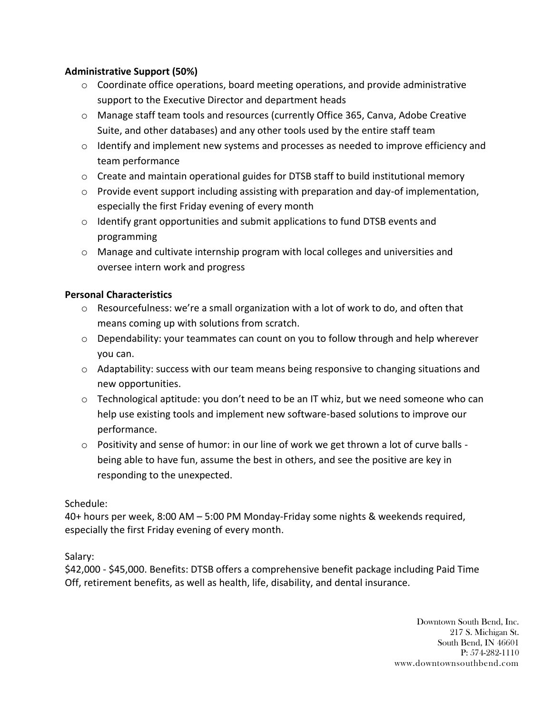### **Administrative Support (50%)**

- $\circ$  Coordinate office operations, board meeting operations, and provide administrative support to the Executive Director and department heads
- o Manage staff team tools and resources (currently Office 365, Canva, Adobe Creative Suite, and other databases) and any other tools used by the entire staff team
- $\circ$  Identify and implement new systems and processes as needed to improve efficiency and team performance
- $\circ$  Create and maintain operational guides for DTSB staff to build institutional memory
- $\circ$  Provide event support including assisting with preparation and day-of implementation, especially the first Friday evening of every month
- $\circ$  Identify grant opportunities and submit applications to fund DTSB events and programming
- o Manage and cultivate internship program with local colleges and universities and oversee intern work and progress

## **Personal Characteristics**

- $\circ$  Resourcefulness: we're a small organization with a lot of work to do, and often that means coming up with solutions from scratch.
- o Dependability: your teammates can count on you to follow through and help wherever you can.
- o Adaptability: success with our team means being responsive to changing situations and new opportunities.
- $\circ$  Technological aptitude: you don't need to be an IT whiz, but we need someone who can help use existing tools and implement new software-based solutions to improve our performance.
- $\circ$  Positivity and sense of humor: in our line of work we get thrown a lot of curve balls being able to have fun, assume the best in others, and see the positive are key in responding to the unexpected.

### Schedule:

40+ hours per week, 8:00 AM – 5:00 PM Monday-Friday some nights & weekends required, especially the first Friday evening of every month.

# Salary:

\$42,000 - \$45,000. Benefits: DTSB offers a comprehensive benefit package including Paid Time Off, retirement benefits, as well as health, life, disability, and dental insurance.

> Downtown South Bend, Inc. 217 S. Michigan St. South Bend, IN 46601 P: 574-282-1110 www.downtownsouthbend.com